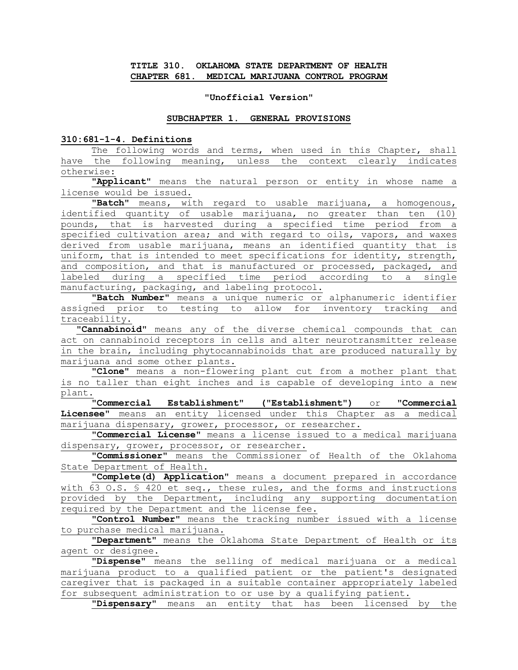### **TITLE 310. OKLAHOMA STATE DEPARTMENT OF HEALTH CHAPTER 681. MEDICAL MARIJUANA CONTROL PROGRAM**

#### **"Unofficial Version"**

#### **SUBCHAPTER 1. GENERAL PROVISIONS**

## **310:681-1-4. Definitions**

The following words and terms, when used in this Chapter, shall have the following meaning, unless the context clearly indicates otherwise:

**"Applicant"** means the natural person or entity in whose name a license would be issued.

**"Batch"** means, with regard to usable marijuana, a homogenous, identified quantity of usable marijuana, no greater than ten (10) pounds, that is harvested during a specified time period from a specified cultivation area; and with regard to oils, vapors, and waxes derived from usable marijuana, means an identified quantity that is uniform, that is intended to meet specifications for identity, strength, and composition, and that is manufactured or processed, packaged, and labeled during a specified time period according to a single manufacturing, packaging, and labeling protocol.

**"Batch Number"** means a unique numeric or alphanumeric identifier assigned prior to testing to allow for inventory tracking and traceability.

**"Cannabinoid"** means any of the diverse chemical compounds that can act on cannabinoid receptors in cells and alter neurotransmitter release in the brain, including phytocannabinoids that are produced naturally by marijuana and some other plants.

**"Clone"** means a non-flowering plant cut from a mother plant that is no taller than eight inches and is capable of developing into a new plant.

**"Commercial Establishment" ("Establishment")** or **"Commercial Licensee"** means an entity licensed under this Chapter as a medical marijuana dispensary, grower, processor, or researcher.

"**Commercial License"** means a license issued to a medical marijuana dispensary, grower, processor, or researcher.

**"Commissioner"** means the Commissioner of Health of the Oklahoma State Department of Health.

**"Complete(d) Application"** means a document prepared in accordance with 63 O.S. § 420 et seq., these rules, and the forms and instructions provided by the Department, including any supporting documentation required by the Department and the license fee.

**"Control Number"** means the tracking number issued with a license to purchase medical marijuana.

**"Department"** means the Oklahoma State Department of Health or its agent or designee.

**"Dispense"** means the selling of medical marijuana or a medical marijuana product to a qualified patient or the patient's designated caregiver that is packaged in a suitable container appropriately labeled for subsequent administration to or use by a qualifying patient.

**"Dispensary"** means an entity that has been licensed by the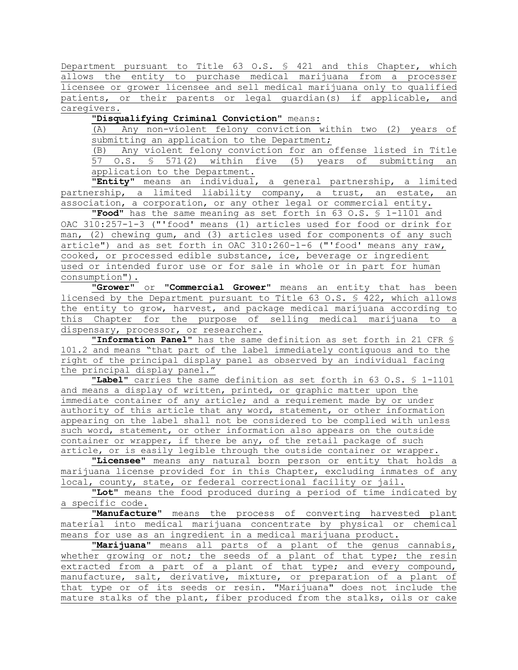Department pursuant to Title 63 O.S. § 421 and this Chapter, which allows the entity to purchase medical marijuana from a processer licensee or grower licensee and sell medical marijuana only to qualified patients, or their parents or legal guardian(s) if applicable, and caregivers.

**"Disqualifying Criminal Conviction"** means:

(A) Any non-violent felony conviction within two (2) years of submitting an application to the Department;

(B) Any violent felony conviction for an offense listed in Title 57 O.S. § 571(2) within five (5) years of submitting an application to the Department.

**"Entity"** means an individual, a general partnership, a limited partnership, a limited liability company, a trust, an estate, an association, a corporation, or any other legal or commercial entity.

**"Food"** has the same meaning as set forth in 63 O.S. § 1-1101 and OAC 310:257-1-3 ("'food' means (1) articles used for food or drink for man, (2) chewing gum, and (3) articles used for components of any such article") and as set forth in OAC 310:260-1-6 ("'food' means any raw, cooked, or processed edible substance, ice, beverage or ingredient used or intended furor use or for sale in whole or in part for human consumption").

**"Grower"** or **"Commercial Grower"** means an entity that has been licensed by the Department pursuant to Title 63 O.S. § 422, which allows the entity to grow, harvest, and package medical marijuana according to this Chapter for the purpose of selling medical marijuana to a dispensary, processor, or researcher.

**"Information Panel"** has the same definition as set forth in 21 CFR § 101.2 and means "that part of the label immediately contiguous and to the right of the principal display panel as observed by an individual facing the principal display panel."

**"Label"** carries the same definition as set forth in 63 O.S. § 1-1101 and means a display of written, printed, or graphic matter upon the immediate container of any article; and a requirement made by or under authority of this article that any word, statement, or other information appearing on the label shall not be considered to be complied with unless such word, statement, or other information also appears on the outside container or wrapper, if there be any, of the retail package of such article, or is easily legible through the outside container or wrapper.

**"Licensee"** means any natural born person or entity that holds a marijuana license provided for in this Chapter, excluding inmates of any local, county, state, or federal correctional facility or jail.

**"Lot"** means the food produced during a period of time indicated by a specific code.

**"Manufacture"** means the process of converting harvested plant material into medical marijuana concentrate by physical or chemical means for use as an ingredient in a medical marijuana product.

**"Marijuana"** means all parts of a plant of the genus cannabis, whether growing or not; the seeds of a plant of that type; the resin extracted from a part of a plant of that type; and every compound, manufacture, salt, derivative, mixture, or preparation of a plant of that type or of its seeds or resin. "Marijuana" does not include the mature stalks of the plant, fiber produced from the stalks, oils or cake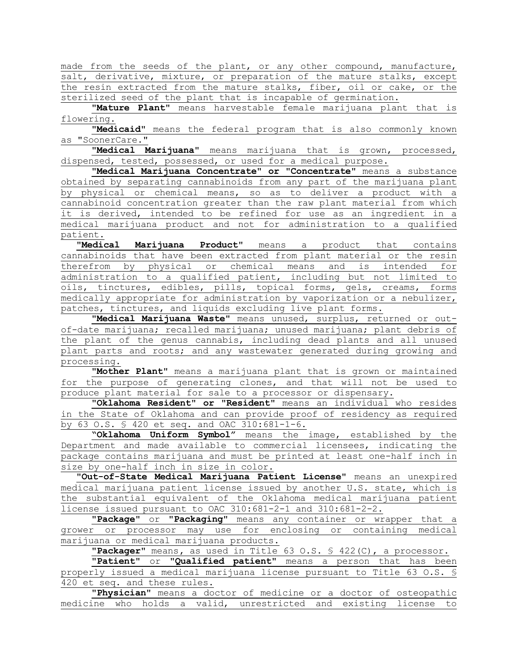made from the seeds of the plant, or any other compound, manufacture, salt, derivative, mixture, or preparation of the mature stalks, except the resin extracted from the mature stalks, fiber, oil or cake, or the sterilized seed of the plant that is incapable of germination**.**

**"Mature Plant"** means harvestable female marijuana plant that is flowering.

**"Medicaid"** means the federal program that is also commonly known as "SoonerCare."

**"Medical Marijuana"** means marijuana that is grown, processed, dispensed, tested, possessed, or used for a medical purpose.

**"Medical Marijuana Concentrate" or "Concentrate"** means a substance obtained by separating cannabinoids from any part of the marijuana plant by physical or chemical means, so as to deliver a product with a cannabinoid concentration greater than the raw plant material from which it is derived, intended to be refined for use as an ingredient in a medical marijuana product and not for administration to a qualified patient.

**"Medical Marijuana Product"** means a product that contains cannabinoids that have been extracted from plant material or the resin therefrom by physical or chemical means and is intended for administration to a qualified patient, including but not limited to oils, tinctures, edibles, pills, topical forms, gels, creams, forms medically appropriate for administration by vaporization or a nebulizer, patches, tinctures, and liquids excluding live plant forms.

**"Medical Marijuana Waste"** means unused, surplus, returned or outof-date marijuana; recalled marijuana; unused marijuana; plant debris of the plant of the genus cannabis, including dead plants and all unused plant parts and roots; and any wastewater generated during growing and processing.

**"Mother Plant"** means a marijuana plant that is grown or maintained for the purpose of generating clones, and that will not be used to produce plant material for sale to a processor or dispensary.

**"Oklahoma Resident" or "Resident"** means an individual who resides in the State of Oklahoma and can provide proof of residency as required by 63 O.S. § 420 et seq. and OAC 310:681-1-6.

**"Oklahoma Uniform Symbol"** means the image, established by the Department and made available to commercial licensees, indicating the package contains marijuana and must be printed at least one-half inch in size by one-half inch in size in color.

**"Out-of-State Medical Marijuana Patient License"** means an unexpired medical marijuana patient license issued by another U.S. state, which is the substantial equivalent of the Oklahoma medical marijuana patient license issued pursuant to OAC 310:681-2-1 and 310:681-2-2.

**"Package"** or **"Packaging"** means any container or wrapper that a grower or processor may use for enclosing or containing medical marijuana or medical marijuana products.

**"Packager"** means**,** as used in Title 63 O.S. § 422(C), a processor.

**"Patient"** or **"Qualified patient"** means a person that has been properly issued a medical marijuana license pursuant to Title 63 O.S. § 420 et seq. and these rules.

**"Physician**" means a doctor of medicine or a doctor of osteopathic medicine who holds a valid, unrestricted and existing license to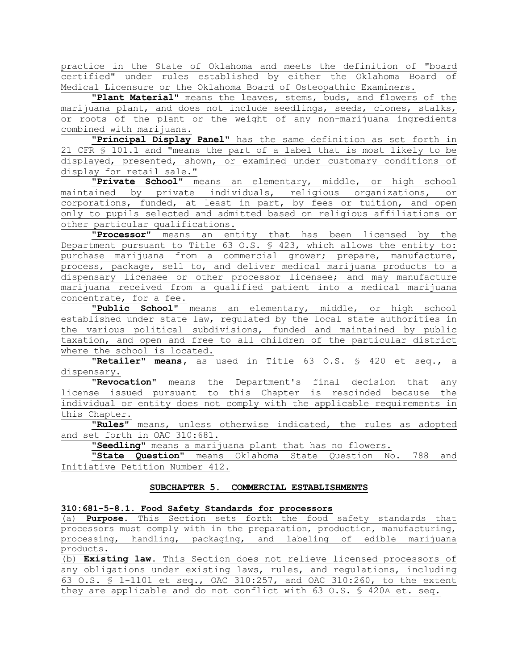practice in the State of Oklahoma and meets the definition of "board certified" under rules established by either the Oklahoma Board of Medical Licensure or the Oklahoma Board of Osteopathic Examiners.

**"Plant Material"** means the leaves, stems, buds, and flowers of the marijuana plant, and does not include seedlings, seeds, clones, stalks, or roots of the plant or the weight of any non-marijuana ingredients combined with marijuana.

**"Principal Display Panel"** has the same definition as set forth in 21 CFR § 101.1 and "means the part of a label that is most likely to be displayed, presented, shown, or examined under customary conditions of display for retail sale."

**"Private School"** means an elementary, middle, or high school maintained by private individuals, religious organizations, or corporations, funded, at least in part, by fees or tuition, and open only to pupils selected and admitted based on religious affiliations or other particular qualifications.

**"Processor"** means an entity that has been licensed by the Department pursuant to Title 63 O.S. § 423, which allows the entity to: purchase marijuana from a commercial grower; prepare, manufacture, process, package, sell to, and deliver medical marijuana products to a dispensary licensee or other processor licensee; and may manufacture marijuana received from a qualified patient into a medical marijuana concentrate, for a fee.

**"Public School"** means an elementary, middle, or high school established under state law, regulated by the local state authorities in the various political subdivisions, funded and maintained by public taxation, and open and free to all children of the particular district where the school is located.

**"Retailer" means,** as used in Title 63 O.S. § 420 et seq., a dispensary.

**"Revocation**" means the Department's final decision that any license issued pursuant to this Chapter is rescinded because the individual or entity does not comply with the applicable requirements in this Chapter.

**"Rules"** means, unless otherwise indicated, the rules as adopted and set forth in OAC 310:681.

"**Seedling"** means a marijuana plant that has no flowers.

**"State Question"** means Oklahoma State Question No. 788 and Initiative Petition Number 412.

#### **SUBCHAPTER 5. COMMERCIAL ESTABLISHMENTS**

#### **310:681-5-8.1. Food Safety Standards for processors**

(a) **Purpose.** This Section sets forth the food safety standards that processors must comply with in the preparation, production, manufacturing, processing, handling, packaging, and labeling of edible marijuana products.

(b) **Existing law.** This Section does not relieve licensed processors of any obligations under existing laws, rules, and regulations, including 63 O.S. § 1-1101 et seq., OAC 310:257, and OAC 310:260, to the extent they are applicable and do not conflict with 63 O.S. § 420A et. seq.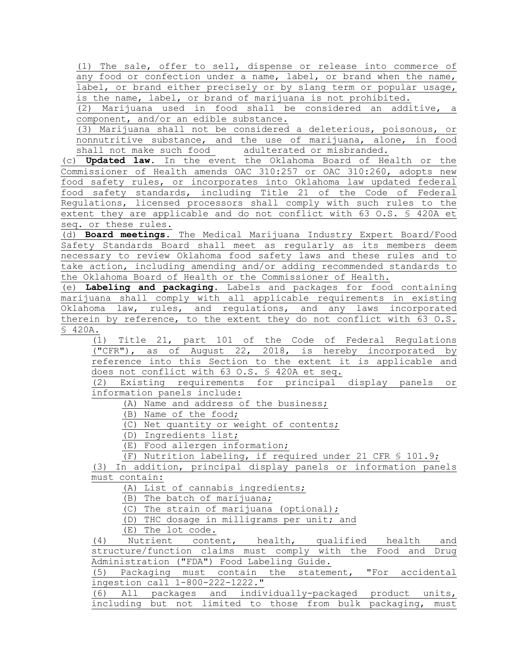(1) The sale, offer to sell, dispense or release into commerce of any food or confection under a name, label, or brand when the name, label, or brand either precisely or by slang term or popular usage, is the name, label, or brand of marijuana is not prohibited.

(2) Marijuana used in food shall be considered an additive, a component, and/or an edible substance.

(3) Marijuana shall not be considered a deleterious, poisonous, or nonnutritive substance, and the use of marijuana, alone, in food shall not make such food adulterated or misbranded.

(c) **Updated law.** In the event the Oklahoma Board of Health or the Commissioner of Health amends OAC 310:257 or OAC 310:260, adopts new food safety rules, or incorporates into Oklahoma law updated federal food safety standards, including Title 21 of the Code of Federal Regulations, licensed processors shall comply with such rules to the extent they are applicable and do not conflict with 63 O.S. § 420A et seq. or these rules.

(d) **Board meetings.** The Medical Marijuana Industry Expert Board/Food Safety Standards Board shall meet as regularly as its members deem necessary to review Oklahoma food safety laws and these rules and to take action, including amending and/or adding recommended standards to the Oklahoma Board of Health or the Commissioner of Health.

(e) **Labeling and packaging.** Labels and packages for food containing marijuana shall comply with all applicable requirements in existing Oklahoma law, rules, and regulations, and any laws incorporated therein by reference, to the extent they do not conflict with 63 O.S.  $\overline{\$}$  420A.

(1) Title 21, part 101 of the Code of Federal Regulations ("CFR"), as of August 22, 2018, is hereby incorporated by reference into this Section to the extent it is applicable and does not conflict with 63 O.S. § 420A et seq.

(2) Existing requirements for principal display panels or information panels include:

(A) Name and address of the business;

(B) Name of the food;

(C) Net quantity or weight of contents;

(D) Ingredients list;

(E) Food allergen information;

(F) Nutrition labeling, if required under 21 CFR § 101.9;

(3) In addition, principal display panels or information panels must contain:

(A) List of cannabis ingredients;

(B) The batch of marijuana;

(C) The strain of marijuana (optional);

(D) THC dosage in milligrams per unit; and

(E) The lot code.

(4) Nutrient content, health, qualified health and structure/function claims must comply with the Food and Drug Administration ("FDA") Food Labeling Guide.

(5) Packaging must contain the statement, "For accidental ingestion call 1-800-222-1222."

(6) All packages and individually-packaged product units, including but not limited to those from bulk packaging, must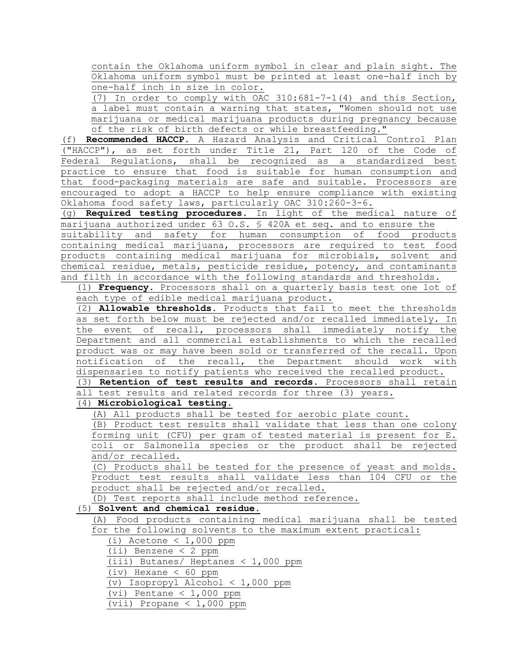contain the Oklahoma uniform symbol in clear and plain sight. The Oklahoma uniform symbol must be printed at least one-half inch by one-half inch in size in color.

(7) In order to comply with OAC 310:681-7-1(4) and this Section, a label must contain a warning that states, "Women should not use marijuana or medical marijuana products during pregnancy because of the risk of birth defects or while breastfeeding."

(f) **Recommended HACCP.** A Hazard Analysis and Critical Control Plan ("HACCP"), as set forth under Title 21, Part 120 of the Code of Federal Regulations, shall be recognized as a standardized best practice to ensure that food is suitable for human consumption and that food-packaging materials are safe and suitable. Processors are encouraged to adopt a HACCP to help ensure compliance with existing Oklahoma food safety laws, particularly OAC 310:260-3-6.

(g) **Required testing procedures.** In light of the medical nature of marijuana authorized under 63 O.S. § 420A et seq. and to ensure the suitability and safety for human consumption of food products containing medical marijuana, processors are required to test food products containing medical marijuana for microbials, solvent and chemical residue, metals, pesticide residue, potency, and contaminants and filth in accordance with the following standards and thresholds.

(1) **Frequency.** Processors shall on a quarterly basis test one lot of each type of edible medical marijuana product.

(2) **Allowable thresholds**. Products that fail to meet the thresholds as set forth below must be rejected and/or recalled immediately. In the event of recall, processors shall immediately notify the Department and all commercial establishments to which the recalled product was or may have been sold or transferred of the recall. Upon notification of the recall, the Department should work with dispensaries to notify patients who received the recalled product.

(3) **Retention of test results and records.** Processors shall retain all test results and related records for three (3) years.

(4) **Microbiological testing.** 

(A) All products shall be tested for aerobic plate count.

(B) Product test results shall validate that less than one colony forming unit (CFU) per gram of tested material is present for E. coli or Salmonella species or the product shall be rejected and/or recalled.

(C) Products shall be tested for the presence of yeast and molds. Product test results shall validate less than 104 CFU or the product shall be rejected and/or recalled.

(D) Test reports shall include method reference.

# (5) **Solvent and chemical residue.**

(A) Food products containing medical marijuana shall be tested for the following solvents to the maximum extent practical:

(i) Acetone  $< 1,000$  ppm

(ii) Benzene < 2 ppm

(iii) Butanes/ Heptanes < 1,000 ppm

(iv) Hexane < 60 ppm

(v) Isopropyl Alcohol < 1,000 ppm

(vi) Pentane  $< 1,000$  ppm

(vii) Propane < 1,000 ppm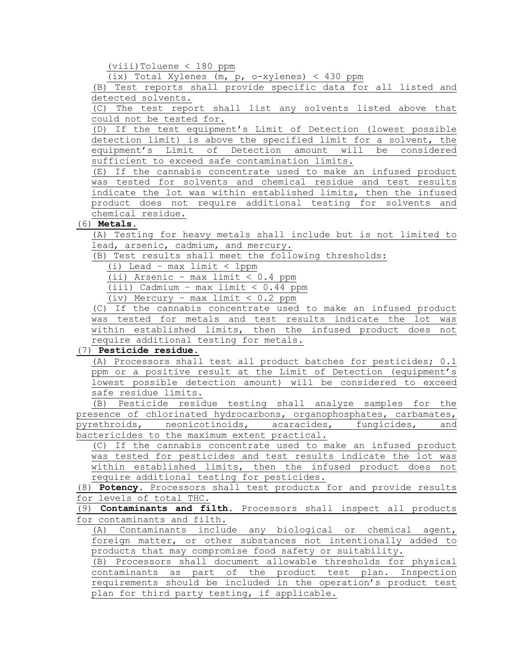(viii)Toluene < 180 ppm

(ix) Total Xylenes (m, p, o-xylenes) < 430 ppm

(B) Test reports shall provide specific data for all listed and detected solvents.

(C) The test report shall list any solvents listed above that could not be tested for.

(D) If the test equipment's Limit of Detection (lowest possible detection limit) is above the specified limit for a solvent, the equipment's Limit of Detection amount will be considered sufficient to exceed safe contamination limits.

(E) If the cannabis concentrate used to make an infused product was tested for solvents and chemical residue and test results indicate the lot was within established limits, then the infused product does not require additional testing for solvents and chemical residue.

# (6) **Metals.**

(A) Testing for heavy metals shall include but is not limited to lead, arsenic, cadmium, and mercury.

(B) Test results shall meet the following thresholds:

(i) Lead – max limit < 1ppm

(ii) Arsenic – max limit < 0.4 ppm

(iii) Cadmium - max limit  $< 0.44$  ppm

(iv) Mercury – max limit < 0.2 ppm

(C) If the cannabis concentrate used to make an infused product was tested for metals and test results indicate the lot was within established limits, then the infused product does not require additional testing for metals.

# (7) **Pesticide residue.**

(A) Processors shall test all product batches for pesticides; 0.1 ppm or a positive result at the Limit of Detection (equipment's lowest possible detection amount) will be considered to exceed safe residue limits.

(B) Pesticide residue testing shall analyze samples for the presence of chlorinated hydrocarbons, organophosphates, carbamates, pyrethroids, neonicotinoids, acaracides, fungicides, and bactericides to the maximum extent practical.

(C) If the cannabis concentrate used to make an infused product was tested for pesticides and test results indicate the lot was within established limits, then the infused product does not require additional testing for pesticides.

(8) **Potency.** Processors shall test products for and provide results for levels of total THC.

(9) **Contaminants and filth.** Processors shall inspect all products for contaminants and filth.

(A) Contaminants include any biological or chemical agent, foreign matter, or other substances not intentionally added to products that may compromise food safety or suitability.

(B) Processors shall document allowable thresholds for physical contaminants as part of the product test plan. Inspection requirements should be included in the operation's product test plan for third party testing, if applicable.